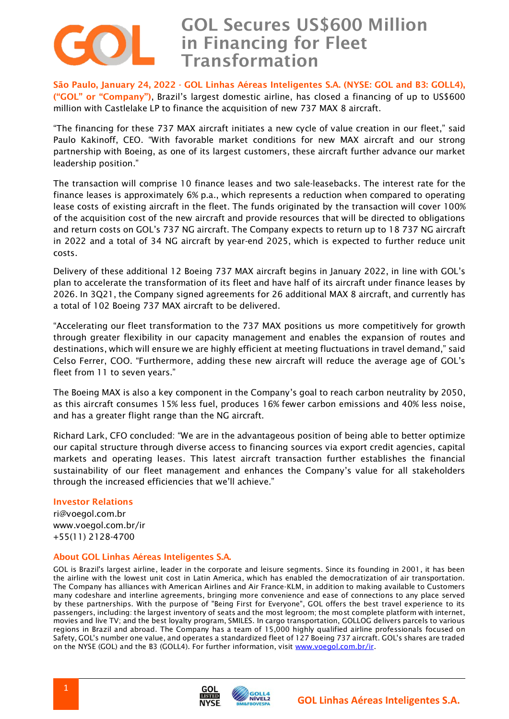

# **GOL Secures US\$600 Million in Financing for Fleet Transformation**

**São Paulo, January 24, 2022 - GOL Linhas Aéreas Inteligentes S.A. (NYSE: GOL and B3: GOLL4), ("GOL" or "Company")**, Brazil's largest domestic airline, has closed a financing of up to US\$600 million with Castlelake LP to finance the acquisition of new 737 MAX 8 aircraft.

"The financing for these 737 MAX aircraft initiates a new cycle of value creation in our fleet," said Paulo Kakinoff, CEO. "With favorable market conditions for new MAX aircraft and our strong partnership with Boeing, as one of its largest customers, these aircraft further advance our market leadership position."

The transaction will comprise 10 finance leases and two sale-leasebacks. The interest rate for the finance leases is approximately 6% p.a., which represents a reduction when compared to operating lease costs of existing aircraft in the fleet. The funds originated by the transaction will cover 100% of the acquisition cost of the new aircraft and provide resources that will be directed to obligations and return costs on GOL's 737 NG aircraft. The Company expects to return up to 18 737 NG aircraft in 2022 and a total of 34 NG aircraft by year-end 2025, which is expected to further reduce unit costs.

Delivery of these additional 12 Boeing 737 MAX aircraft begins in January 2022, in line with GOL's plan to accelerate the transformation of its fleet and have half of its aircraft under finance leases by 2026. In 3Q21, the Company signed agreements for 26 additional MAX 8 aircraft, and currently has a total of 102 Boeing 737 MAX aircraft to be delivered.

"Accelerating our fleet transformation to the 737 MAX positions us more competitively for growth through greater flexibility in our capacity management and enables the expansion of routes and destinations, which will ensure we are highly efficient at meeting fluctuations in travel demand," said Celso Ferrer, COO. "Furthermore, adding these new aircraft will reduce the average age of GOL's fleet from 11 to seven years."

The Boeing MAX is also a key component in the Company's goal to reach carbon neutrality by 2050, as this aircraft consumes 15% less fuel, produces 16% fewer carbon emissions and 40% less noise, and has a greater flight range than the NG aircraft.

Richard Lark, CFO concluded: "We are in the advantageous position of being able to better optimize our capital structure through diverse access to financing sources via export credit agencies, capital markets and operating leases. This latest aircraft transaction further establishes the financial sustainability of our fleet management and enhances the Company's value for all stakeholders through the increased efficiencies that we'll achieve."

### **Investor Relations**

ri@voegol.com.br www.voegol.com.br/ir +55(11) 2128-4700

#### **About GOL Linhas Aéreas Inteligentes S.A.**

GOL is Brazil's largest airline, leader in the corporate and leisure segments. Since its founding in 2001, it has been the airline with the lowest unit cost in Latin America, which has enabled the democratization of air transportation. The Company has alliances with American Airlines and Air France-KLM, in addition to making available to Customers many codeshare and interline agreements, bringing more convenience and ease of connections to any place served by these partnerships. With the purpose of "Being First for Everyone", GOL offers the best travel experience to its passengers, including: the largest inventory of seats and the most legroom; the most complete platform with internet, movies and live TV; and the best loyalty program, SMILES. In cargo transportation, GOLLOG delivers parcels to various regions in Brazil and abroad. The Company has a team of 15,000 highly qualified airline professionals focused on Safety, GOL's number one value, and operates a standardized fleet of 127 Boeing 737 aircraft. GOL's shares are traded on the NYSE (GOL) and the B3 (GOLL4). For further information, visit [www.voegol.com.br/ir.](http://www.voegol.com.br/ir)